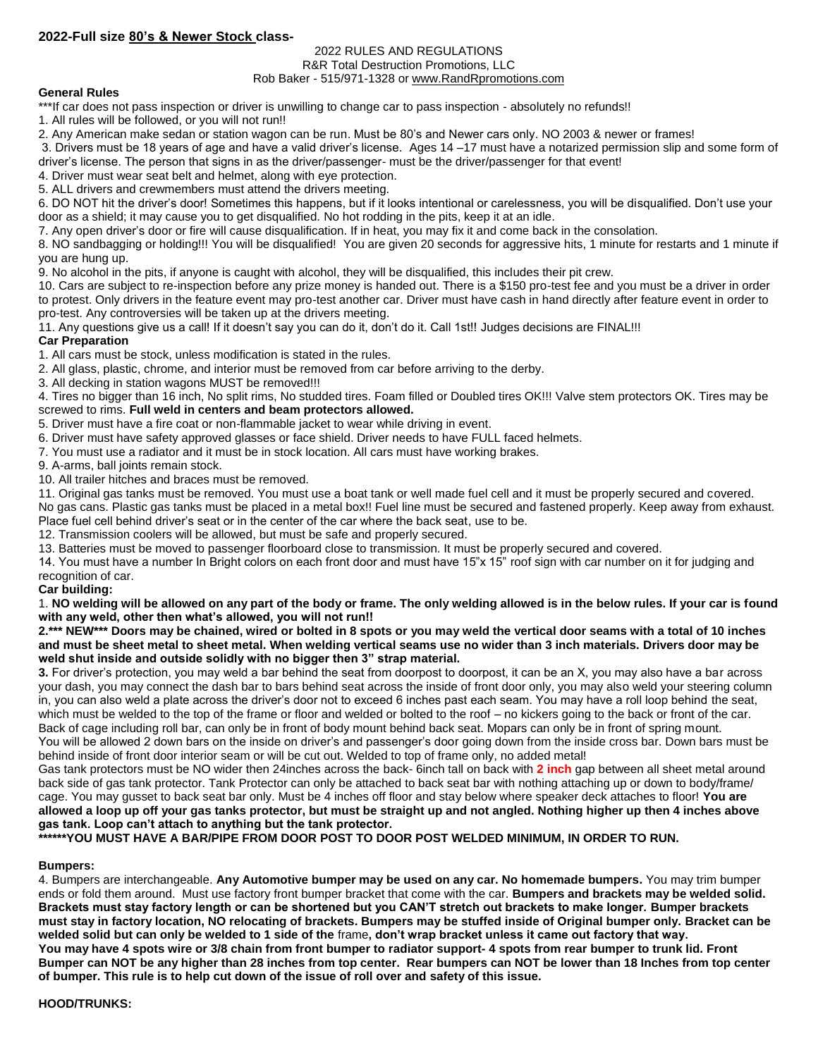## **2022-Full size 80's & Newer Stock class-**

# 2022 RULES AND REGULATIONS

#### R&R Total Destruction Promotions, LLC Rob Baker - 515/971-1328 or [www.RandRpromotions.com](../../../2008%20Contracts/www.RandRpromotions.com)

## **General Rules**

\*\*\*If car does not pass inspection or driver is unwilling to change car to pass inspection - absolutely no refunds!!

1. All rules will be followed, or you will not run!!

2. Any American make sedan or station wagon can be run. Must be 80's and Newer cars only. NO 2003 & newer or frames!

3. Drivers must be 18 years of age and have a valid driver's license. Ages 14 –17 must have a notarized permission slip and some form of driver's license. The person that signs in as the driver/passenger- must be the driver/passenger for that event!

4. Driver must wear seat belt and helmet, along with eye protection.

5. ALL drivers and crewmembers must attend the drivers meeting.

6. DO NOT hit the driver's door! Sometimes this happens, but if it looks intentional or carelessness, you will be disqualified. Don't use your door as a shield; it may cause you to get disqualified. No hot rodding in the pits, keep it at an idle.

7. Any open driver's door or fire will cause disqualification. If in heat, you may fix it and come back in the consolation.

8. NO sandbagging or holding!!! You will be disqualified! You are given 20 seconds for aggressive hits, 1 minute for restarts and 1 minute if you are hung up.

9. No alcohol in the pits, if anyone is caught with alcohol, they will be disqualified, this includes their pit crew.

10. Cars are subject to re-inspection before any prize money is handed out. There is a \$150 pro-test fee and you must be a driver in order to protest. Only drivers in the feature event may pro-test another car. Driver must have cash in hand directly after feature event in order to pro-test. Any controversies will be taken up at the drivers meeting.

11. Any questions give us a call! If it doesn't say you can do it, don't do it. Call 1st!! Judges decisions are FINAL!!!

### **Car Preparation**

1. All cars must be stock, unless modification is stated in the rules.

2. All glass, plastic, chrome, and interior must be removed from car before arriving to the derby.

3. All decking in station wagons MUST be removed!!!

4. Tires no bigger than 16 inch, No split rims, No studded tires. Foam filled or Doubled tires OK!!! Valve stem protectors OK. Tires may be screwed to rims. **Full weld in centers and beam protectors allowed.**

5. Driver must have a fire coat or non-flammable jacket to wear while driving in event.

6. Driver must have safety approved glasses or face shield. Driver needs to have FULL faced helmets.

7. You must use a radiator and it must be in stock location. All cars must have working brakes.

9. A-arms, ball joints remain stock.

10. All trailer hitches and braces must be removed.

11. Original gas tanks must be removed. You must use a boat tank or well made fuel cell and it must be properly secured and covered. No gas cans. Plastic gas tanks must be placed in a metal box!! Fuel line must be secured and fastened properly. Keep away from exhaust. Place fuel cell behind driver's seat or in the center of the car where the back seat, use to be.

12. Transmission coolers will be allowed, but must be safe and properly secured.

13. Batteries must be moved to passenger floorboard close to transmission. It must be properly secured and covered.

14. You must have a number In Bright colors on each front door and must have 15"x 15" roof sign with car number on it for judging and recognition of car.

### **Car building:**

1. **NO welding will be allowed on any part of the body or frame. The only welding allowed is in the below rules. If your car is found with any weld, other then what's allowed, you will not run!!**

**2.\*\*\* NEW\*\*\* Doors may be chained, wired or bolted in 8 spots or you may weld the vertical door seams with a total of 10 inches and must be sheet metal to sheet metal. When welding vertical seams use no wider than 3 inch materials. Drivers door may be weld shut inside and outside solidly with no bigger then 3" strap material.** 

**3.** For driver's protection, you may weld a bar behind the seat from doorpost to doorpost, it can be an X, you may also have a bar across your dash, you may connect the dash bar to bars behind seat across the inside of front door only, you may also weld your steering column in, you can also weld a plate across the driver's door not to exceed 6 inches past each seam. You may have a roll loop behind the seat, which must be welded to the top of the frame or floor and welded or bolted to the roof – no kickers going to the back or front of the car. Back of cage including roll bar, can only be in front of body mount behind back seat. Mopars can only be in front of spring mount. You will be allowed 2 down bars on the inside on driver's and passenger's door going down from the inside cross bar. Down bars must be behind inside of front door interior seam or will be cut out. Welded to top of frame only, no added metal!

Gas tank protectors must be NO wider then 24inches across the back- 6inch tall on back with **2 inch** gap between all sheet metal around back side of gas tank protector. Tank Protector can only be attached to back seat bar with nothing attaching up or down to body/frame/ cage. You may gusset to back seat bar only. Must be 4 inches off floor and stay below where speaker deck attaches to floor! **You are allowed a loop up off your gas tanks protector, but must be straight up and not angled. Nothing higher up then 4 inches above gas tank. Loop can't attach to anything but the tank protector.**

**\*\*\*\*\*\*YOU MUST HAVE A BAR/PIPE FROM DOOR POST TO DOOR POST WELDED MINIMUM, IN ORDER TO RUN.**

### **Bumpers:**

4. Bumpers are interchangeable. **Any Automotive bumper may be used on any car. No homemade bumpers.** You may trim bumper ends or fold them around. Must use factory front bumper bracket that come with the car. **Bumpers and brackets may be welded solid. Brackets must stay factory length or can be shortened but you CAN'T stretch out brackets to make longer. Bumper brackets must stay in factory location, NO relocating of brackets. Bumpers may be stuffed inside of Original bumper only. Bracket can be welded solid but can only be welded to 1 side of the** frame**, don't wrap bracket unless it came out factory that way. You may have 4 spots wire or 3/8 chain from front bumper to radiator support- 4 spots from rear bumper to trunk lid. Front Bumper can NOT be any higher than 28 inches from top center. Rear bumpers can NOT be lower than 18 Inches from top center of bumper. This rule is to help cut down of the issue of roll over and safety of this issue.**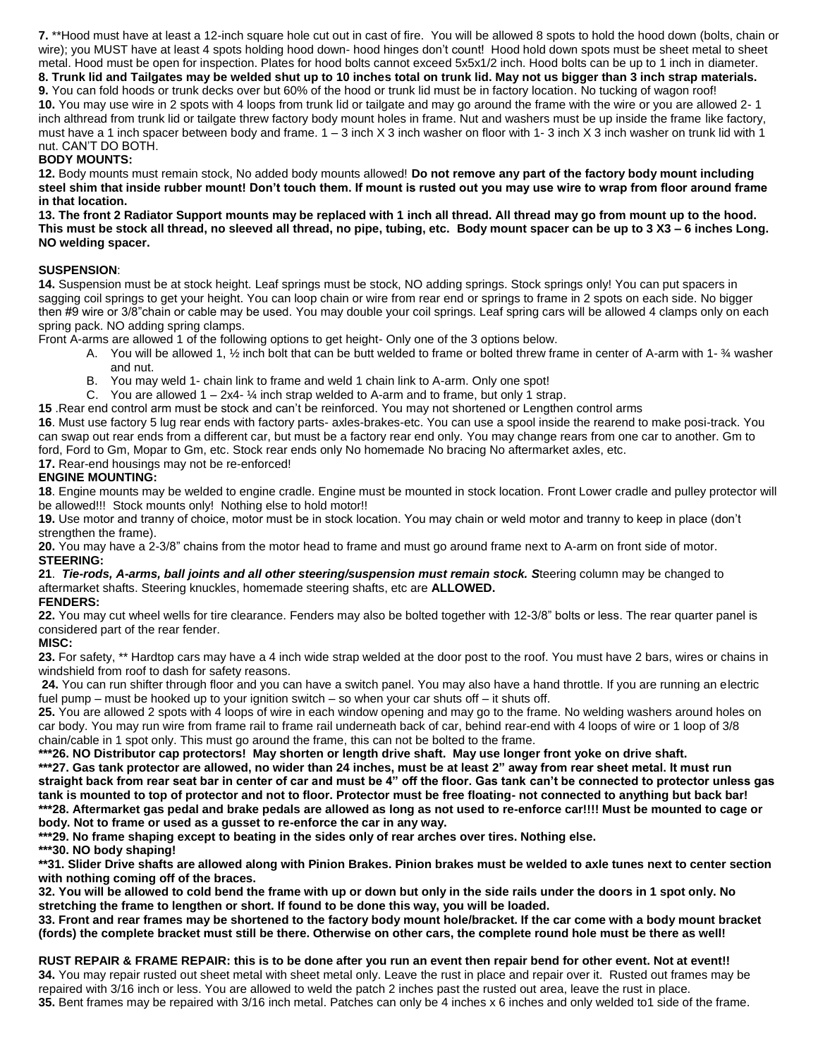**7.** \*\*Hood must have at least a 12-inch square hole cut out in cast of fire. You will be allowed 8 spots to hold the hood down (bolts, chain or wire); you MUST have at least 4 spots holding hood down- hood hinges don't count! Hood hold down spots must be sheet metal to sheet metal. Hood must be open for inspection. Plates for hood bolts cannot exceed 5x5x1/2 inch. Hood bolts can be up to 1 inch in diameter.

**8. Trunk lid and Tailgates may be welded shut up to 10 inches total on trunk lid. May not us bigger than 3 inch strap materials. 9.** You can fold hoods or trunk decks over but 60% of the hood or trunk lid must be in factory location. No tucking of wagon roof! **10.** You may use wire in 2 spots with 4 loops from trunk lid or tailgate and may go around the frame with the wire or you are allowed 2- 1 inch althread from trunk lid or tailgate threw factory body mount holes in frame. Nut and washers must be up inside the frame like factory, must have a 1 inch spacer between body and frame.  $1 - 3$  inch X 3 inch washer on floor with 1-3 inch X 3 inch washer on trunk lid with 1 nut. CAN'T DO BOTH.

## **BODY MOUNTS:**

**12.** Body mounts must remain stock, No added body mounts allowed! **Do not remove any part of the factory body mount including steel shim that inside rubber mount! Don't touch them. If mount is rusted out you may use wire to wrap from floor around frame in that location.**

**13. The front 2 Radiator Support mounts may be replaced with 1 inch all thread. All thread may go from mount up to the hood. This must be stock all thread, no sleeved all thread, no pipe, tubing, etc. Body mount spacer can be up to 3 X3 – 6 inches Long. NO welding spacer.**

## **SUSPENSION**:

**14.** Suspension must be at stock height. Leaf springs must be stock, NO adding springs. Stock springs only! You can put spacers in sagging coil springs to get your height. You can loop chain or wire from rear end or springs to frame in 2 spots on each side. No bigger then #9 wire or 3/8"chain or cable may be used. You may double your coil springs. Leaf spring cars will be allowed 4 clamps only on each spring pack. NO adding spring clamps.

Front A-arms are allowed 1 of the following options to get height- Only one of the 3 options below.

- A. You will be allowed 1, ½ inch bolt that can be butt welded to frame or bolted threw frame in center of A-arm with 1- ¾ washer and nut.
- B. You may weld 1- chain link to frame and weld 1 chain link to A-arm. Only one spot!
- C. You are allowed  $1 2x4 \frac{1}{4}$  inch strap welded to A-arm and to frame, but only 1 strap.

**15** .Rear end control arm must be stock and can't be reinforced. You may not shortened or Lengthen control arms **16**. Must use factory 5 lug rear ends with factory parts- axles-brakes-etc. You can use a spool inside the rearend to make posi-track. You can swap out rear ends from a different car, but must be a factory rear end only. You may change rears from one car to another. Gm to

ford, Ford to Gm, Mopar to Gm, etc. Stock rear ends only No homemade No bracing No aftermarket axles, etc.

**17.** Rear-end housings may not be re-enforced!

## **ENGINE MOUNTING:**

**18**. Engine mounts may be welded to engine cradle. Engine must be mounted in stock location. Front Lower cradle and pulley protector will be allowed!!! Stock mounts only! Nothing else to hold motor!!

**19.** Use motor and tranny of choice, motor must be in stock location. You may chain or weld motor and tranny to keep in place (don't strengthen the frame).

**20.** You may have a 2-3/8" chains from the motor head to frame and must go around frame next to A-arm on front side of motor. **STEERING:**

**21**. *Tie-rods, A-arms, ball joints and all other steering/suspension must remain stock. S*teering column may be changed to aftermarket shafts. Steering knuckles, homemade steering shafts, etc are **ALLOWED.**

### **FENDERS:**

**22.** You may cut wheel wells for tire clearance. Fenders may also be bolted together with 12-3/8" bolts or less. The rear quarter panel is considered part of the rear fender.

### **MISC:**

**23.** For safety, \*\* Hardtop cars may have a 4 inch wide strap welded at the door post to the roof. You must have 2 bars, wires or chains in windshield from roof to dash for safety reasons.

**24.** You can run shifter through floor and you can have a switch panel. You may also have a hand throttle. If you are running an electric fuel pump – must be hooked up to your ignition switch – so when your car shuts off – it shuts off.

**25.** You are allowed 2 spots with 4 loops of wire in each window opening and may go to the frame. No welding washers around holes on car body. You may run wire from frame rail to frame rail underneath back of car, behind rear-end with 4 loops of wire or 1 loop of 3/8 chain/cable in 1 spot only. This must go around the frame, this can not be bolted to the frame.

**\*\*\*26. NO Distributor cap protectors! May shorten or length drive shaft. May use longer front yoke on drive shaft.**

**\*\*\*27. Gas tank protector are allowed, no wider than 24 inches, must be at least 2" away from rear sheet metal. It must run straight back from rear seat bar in center of car and must be 4" off the floor. Gas tank can't be connected to protector unless gas tank is mounted to top of protector and not to floor. Protector must be free floating- not connected to anything but back bar! \*\*\*28. Aftermarket gas pedal and brake pedals are allowed as long as not used to re-enforce car!!!! Must be mounted to cage or body. Not to frame or used as a gusset to re-enforce the car in any way.**

**\*\*\*29. No frame shaping except to beating in the sides only of rear arches over tires. Nothing else.**

**\*\*\*30. NO body shaping!**

**\*\*31. Slider Drive shafts are allowed along with Pinion Brakes. Pinion brakes must be welded to axle tunes next to center section with nothing coming off of the braces.**

**32. You will be allowed to cold bend the frame with up or down but only in the side rails under the doors in 1 spot only. No stretching the frame to lengthen or short. If found to be done this way, you will be loaded.**

**33. Front and rear frames may be shortened to the factory body mount hole/bracket. If the car come with a body mount bracket (fords) the complete bracket must still be there. Otherwise on other cars, the complete round hole must be there as well!**

**RUST REPAIR & FRAME REPAIR: this is to be done after you run an event then repair bend for other event. Not at event!! 34.** You may repair rusted out sheet metal with sheet metal only. Leave the rust in place and repair over it. Rusted out frames may be repaired with 3/16 inch or less. You are allowed to weld the patch 2 inches past the rusted out area, leave the rust in place. **35.** Bent frames may be repaired with 3/16 inch metal. Patches can only be 4 inches x 6 inches and only welded to1 side of the frame.